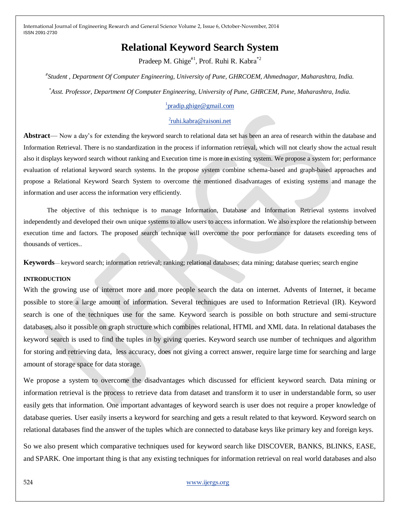# **Relational Keyword Search System**

Pradeep M. Ghige<sup>#1</sup>, Prof. Ruhi R. Kabra<sup>\*2</sup>

*# Student , Department Of Computer Engineering, University of Pune, GHRCOEM, Ahmednagar, Maharashtra, India. \*Asst. Professor, Department Of Computer Engineering, University of Pune, GHRCEM, Pune, Maharashtra, India.*

# 1 [pradip.ghige@gmail.com](mailto:1pradip.ghige@gmail.com)

## <sup>2</sup>[ruhi.kabra@raisoni.net](mailto:2ruhi.kabra@raisoni.net)

**Abstract**— Now a day's for extending the keyword search to relational data set has been an area of research within the database and Information Retrieval. There is no standardization in the process if information retrieval, which will not clearly show the actual result also it displays keyword search without ranking and Execution time is more in existing system. We propose a system for; performance evaluation of relational keyword search systems. In the propose system combine schema-based and graph-based approaches and propose a Relational Keyword Search System to overcome the mentioned disadvantages of existing systems and manage the information and user access the information very efficiently.

The objective of this technique is to manage Information, Database and Information Retrieval systems involved independently and developed their own unique systems to allow users to access information. We also explore the relationship between execution time and factors. The proposed search technique will overcome the poor performance for datasets exceeding tens of thousands of vertices..

**Keywords**— keyword search; information retrieval; ranking; relational databases; data mining; database queries; search engine

#### **INTRODUCTION**

With the growing use of internet more and more people search the data on internet. Advents of Internet, it became possible to store a large amount of information. Several techniques are used to Information Retrieval (IR). Keyword search is one of the techniques use for the same. Keyword search is possible on both structure and semi-structure databases, also it possible on graph structure which combines relational, HTML and XML data. In relational databases the keyword search is used to find the tuples in by giving queries. Keyword search use number of techniques and algorithm for storing and retrieving data, less accuracy, does not giving a correct answer, require large time for searching and large amount of storage space for data storage.

We propose a system to overcome the disadvantages which discussed for efficient keyword search. Data mining or information retrieval is the process to retrieve data from dataset and transform it to user in understandable form, so user easily gets that information. One important advantages of keyword search is user does not require a proper knowledge of database queries. User easily inserts a keyword for searching and gets a result related to that keyword. Keyword search on relational databases find the answer of the tuples which are connected to database keys like primary key and foreign keys.

So we also present which comparative techniques used for keyword search like DISCOVER, BANKS, BLINKS, EASE, and SPARK. One important thing is that any existing techniques for information retrieval on real world databases and also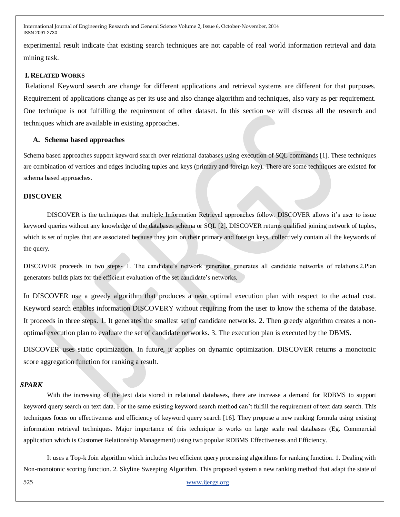experimental result indicate that existing search techniques are not capable of real world information retrieval and data mining task.

# **I.RELATED WORKS**

Relational Keyword search are change for different applications and retrieval systems are different for that purposes. Requirement of applications change as per its use and also change algorithm and techniques, also vary as per requirement. One technique is not fulfilling the requirement of other dataset. In this section we will discuss all the research and techniques which are available in existing approaches.

# **A. Schema based approaches**

Schema based approaches support keyword search over relational databases using execution of SQL commands [1]. These techniques are combination of vertices and edges including tuples and keys (primary and foreign key). There are some techniques are existed for schema based approaches.

# **DISCOVER**

DISCOVER is the techniques that multiple Information Retrieval approaches follow. DISCOVER allows it's user to issue keyword queries without any knowledge of the databases schema or SQL [2]. DISCOVER returns qualified joining network of tuples, which is set of tuples that are associated because they join on their primary and foreign keys, collectively contain all the keywords of the query.

DISCOVER proceeds in two steps- 1. The candidate's network generator generates all candidate networks of relations.2.Plan generators builds plats for the efficient evaluation of the set candidate's networks.

In DISCOVER use a greedy algorithm that produces a near optimal execution plan with respect to the actual cost. Keyword search enables information DISCOVERY without requiring from the user to know the schema of the database. It proceeds in three steps. 1. It generates the smallest set of candidate networks. 2. Then greedy algorithm creates a nonoptimal execution plan to evaluate the set of candidate networks. 3. The execution plan is executed by the DBMS.

DISCOVER uses static optimization. In future, it applies on dynamic optimization. DISCOVER returns a monotonic score aggregation function for ranking a result.

## *SPARK*

With the increasing of the text data stored in relational databases, there are increase a demand for RDBMS to support keyword query search on text data. For the same existing keyword search method can't fulfill the requirement of text data search. This techniques focus on effectiveness and efficiency of keyword query search [16]. They propose a new ranking formula using existing information retrieval techniques. Major importance of this technique is works on large scale real databases (Eg. Commercial application which is Customer Relationship Management) using two popular RDBMS Effectiveness and Efficiency.

It uses a Top-k Join algorithm which includes two efficient query processing algorithms for ranking function. 1. Dealing with Non-monotonic scoring function. 2. Skyline Sweeping Algorithm. This proposed system a new ranking method that adapt the state of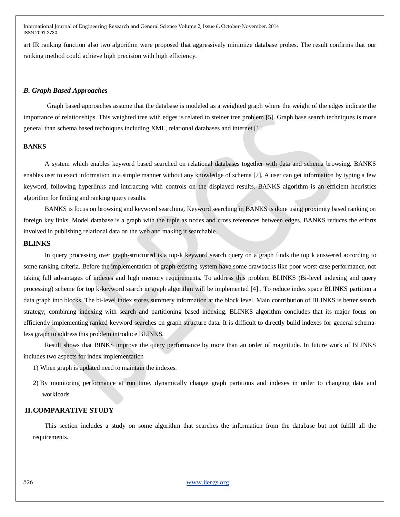art IR ranking function also two algorithm were proposed that aggressively minimize database probes. The result confirms that our ranking method could achieve high precision with high efficiency.

### *B. Graph Based Approaches*

Graph based approaches assume that the database is modeled as a weighted graph where the weight of the edges indicate the importance of relationships. This weighted tree with edges is related to steiner tree problem [5]. Graph base search techniques is more general than schema based techniques including XML, relational databases and internet.[1]

#### **BANKS**

A system which enables keyword based searched on relational databases together with data and schema browsing. BANKS enables user to exact information in a simple manner without any knowledge of schema [7]. A user can get information by typing a few keyword, following hyperlinks and interacting with controls on the displayed results. BANKS algorithm is an efficient heuristics algorithm for finding and ranking query results.

BANKS is focus on browsing and keyword searching. Keyword searching in BANKS is done using proximity based ranking on foreign key links. Model database is a graph with the tuple as nodes and cross references between edges. BANKS reduces the efforts involved in publishing relational data on the web and making it searchable.

#### **BLINKS**

In query processing over graph-structured is a top-k keyword search query on a graph finds the top k answered according to some ranking criteria. Before the implementation of graph existing system have some drawbacks like poor worst case performance, not taking full advantages of indexes and high memory requirements. To address this problem BLINKS (Bi-level indexing and query processing) scheme for top k-keyword search in graph algorithm will be implemented [4] . To reduce index space BLINKS partition a data graph into blocks. The bi-level index stores summery information at the block level. Main contribution of BLINKS is better search strategy; combining indexing with search and partitioning based indexing. BLINKS algorithm concludes that its major focus on efficiently implementing ranked keyword searches on graph structure data. It is difficult to directly build indexes for general schemaless graph to address this problem introduce BLINKS.

Result shows that BINKS improve the query performance by more than an order of magnitude. In future work of BLINKS includes two aspects for index implementation

- 1) When graph is updated need to maintain the indexes.
- 2) By monitoring performance at run time, dynamically change graph partitions and indexes in order to changing data and workloads.

## **II.COMPARATIVE STUDY**

This section includes a study on some algorithm that searches the information from the database but not fulfill all the requirements.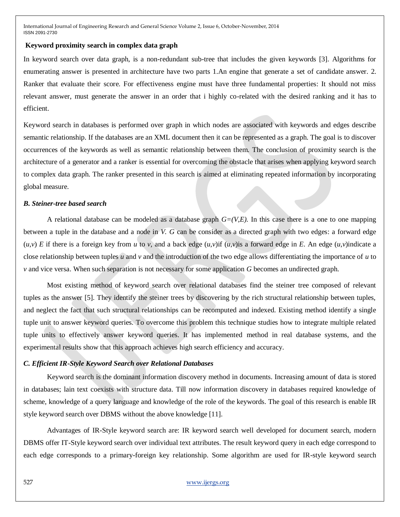## **Keyword proximity search in complex data graph**

In keyword search over data graph, is a non-redundant sub-tree that includes the given keywords [3]. Algorithms for enumerating answer is presented in architecture have two parts 1.An engine that generate a set of candidate answer. 2. Ranker that evaluate their score. For effectiveness engine must have three fundamental properties: It should not miss relevant answer, must generate the answer in an order that i highly co-related with the desired ranking and it has to efficient.

Keyword search in databases is performed over graph in which nodes are associated with keywords and edges describe semantic relationship. If the databases are an XML document then it can be represented as a graph. The goal is to discover occurrences of the keywords as well as semantic relationship between them. The conclusion of proximity search is the architecture of a generator and a ranker is essential for overcoming the obstacle that arises when applying keyword search to complex data graph. The ranker presented in this search is aimed at eliminating repeated information by incorporating global measure.

## *B. Steiner-tree based search*

A relational database can be modeled as a database graph *G=(V,E).* In this case there is a one to one mapping between a tuple in the database and a node in *V. G* can be consider as a directed graph with two edges: a forward edge  $(u, v)$  *E* if there is a foreign key from *u* to *v*, and a back edge  $(u, v)$  if  $(u, v)$  is a forward edge in *E*. An edge  $(u, v)$  indicate a close relationship between tuples *u* and *v* and the introduction of the two edge allows differentiating the importance of *u* to *v* and vice versa. When such separation is not necessary for some application *G* becomes an undirected graph.

Most existing method of keyword search over relational databases find the steiner tree composed of relevant tuples as the answer [5]. They identify the steiner trees by discovering by the rich structural relationship between tuples, and neglect the fact that such structural relationships can be recomputed and indexed. Existing method identify a single tuple unit to answer keyword queries. To overcome this problem this technique studies how to integrate multiple related tuple units to effectively answer keyword queries. It has implemented method in real database systems, and the experimental results show that this approach achieves high search efficiency and accuracy.

#### *C. Efficient IR-Style Keyword Search over Relational Databases*

Keyword search is the dominant information discovery method in documents. Increasing amount of data is stored in databases; lain text coexists with structure data. Till now information discovery in databases required knowledge of scheme, knowledge of a query language and knowledge of the role of the keywords. The goal of this research is enable IR style keyword search over DBMS without the above knowledge [11].

Advantages of IR-Style keyword search are: IR keyword search well developed for document search, modern DBMS offer IT-Style keyword search over individual text attributes. The result keyword query in each edge correspond to each edge corresponds to a primary-foreign key relationship. Some algorithm are used for IR-style keyword search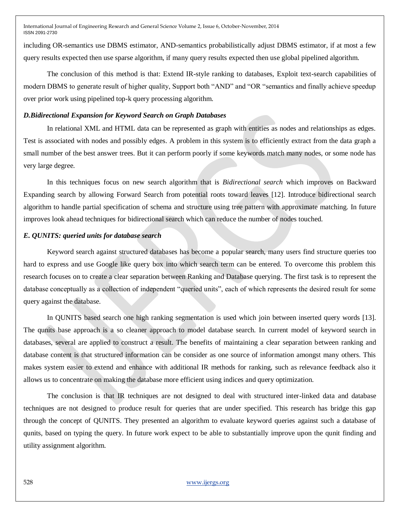including OR-semantics use DBMS estimator, AND-semantics probabilistically adjust DBMS estimator, if at most a few query results expected then use sparse algorithm, if many query results expected then use global pipelined algorithm.

The conclusion of this method is that: Extend IR-style ranking to databases, Exploit text-search capabilities of modern DBMS to generate result of higher quality, Support both "AND" and "OR "semantics and finally achieve speedup over prior work using pipelined top-k query processing algorithm.

## *D.Bidirectional Expansion for Keyword Search on Graph Databases*

In relational XML and HTML data can be represented as graph with entities as nodes and relationships as edges. Test is associated with nodes and possibly edges. A problem in this system is to efficiently extract from the data graph a small number of the best answer trees. But it can perform poorly if some keywords match many nodes, or some node has very large degree.

In this techniques focus on new search algorithm that is *Bidirectional search* which improves on Backward Expanding search by allowing Forward Search from potential roots toward leaves [12]. Introduce bidirectional search algorithm to handle partial specification of schema and structure using tree pattern with approximate matching. In future improves look ahead techniques for bidirectional search which can reduce the number of nodes touched.

## *E. QUNITS: queried units for database search*

Keyword search against structured databases has become a popular search, many users find structure queries too hard to express and use Google like query box into which search term can be entered. To overcome this problem this research focuses on to create a clear separation between Ranking and Database querying. The first task is to represent the database conceptually as a collection of independent "queried units", each of which represents the desired result for some query against the database.

In QUNITS based search one high ranking segmentation is used which join between inserted query words [13]. The qunits base approach is a so cleaner approach to model database search. In current model of keyword search in databases, several are applied to construct a result. The benefits of maintaining a clear separation between ranking and database content is that structured information can be consider as one source of information amongst many others. This makes system easier to extend and enhance with additional IR methods for ranking, such as relevance feedback also it allows us to concentrate on making the database more efficient using indices and query optimization.

The conclusion is that IR techniques are not designed to deal with structured inter-linked data and database techniques are not designed to produce result for queries that are under specified. This research has bridge this gap through the concept of QUNITS. They presented an algorithm to evaluate keyword queries against such a database of qunits, based on typing the query. In future work expect to be able to substantially improve upon the qunit finding and utility assignment algorithm.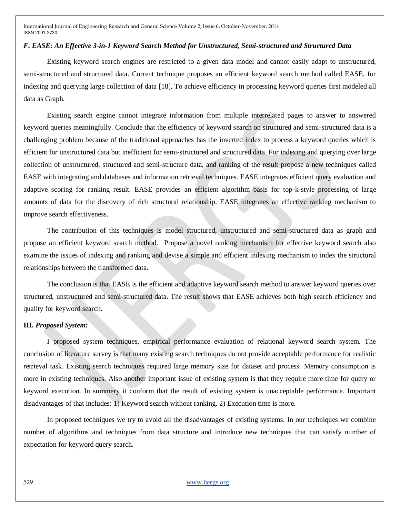## *F. EASE: An Effective 3-in-1 Keyword Search Method for Unstructured, Semi-structured and Structured Data*

Existing keyword search engines are restricted to a given data model and cannot easily adapt to unstructured, semi-structured and structured data. Current technique proposes an efficient keyword search method called EASE, for indexing and querying large collection of data [18]. To achieve efficiency in processing keyword queries first modeled all data as Graph.

Existing search engine cannot integrate information from multiple interrelated pages to answer to answered keyword queries meaningfully. Conclude that the efficiency of keyword search on structured and semi-structured data is a challenging problem because of the traditional approaches has the inverted index to process a keyword queries which is efficient for unstructured data but inefficient for semi-structured and structured data. For indexing and querying over large collection of unstructured, structured and semi-structure data, and ranking of the result propose a new techniques called EASE with integrating and databases and information retrieval techniques. EASE integrates efficient query evaluation and adaptive scoring for ranking result. EASE provides an efficient algorithm basis for top-k-style processing of large amounts of data for the discovery of rich structural relationship. EASE integrates an effective ranking mechanism to improve search effectiveness.

The contribution of this techniques is model structured, unstructured and semi-structured data as graph and propose an efficient keyword search method. Propose a novel ranking mechanism for effective keyword search also examine the issues of indexing and ranking and devise a simple and efficient indexing mechanism to index the structural relationships between the transformed data.

The conclusion is that EASE is the efficient and adaptive keyword search method to answer keyword queries over structured, unstructured and semi-structured data. The result shows that EASE achieves both high search efficiency and quality for keyword search.

## **III.** *Proposed System:*

I proposed system techniques, empirical performance evaluation of relational keyword search system. The conclusion of literature survey is that many existing search techniques do not provide acceptable performance for realistic retrieval task. Existing search techniques required large memory size for dataset and process. Memory consumption is more in existing techniques. Also another important issue of existing system is that they require more time for query or keyword execution. In summery it conform that the result of existing system is unacceptable performance. Important disadvantages of that includes: 1) Keyword search without ranking. 2) Execution time is more.

In proposed techniques we try to avoid all the disadvantages of existing systems. In our techniques we combine number of algorithms and techniques from data structure and introduce new techniques that can satisfy number of expectation for keyword query search.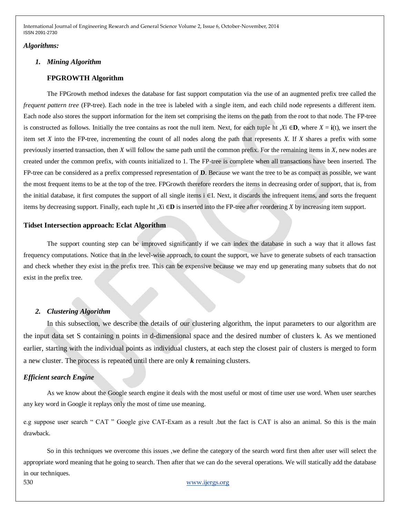## *Algorithms:*

## *1. Mining Algorithm*

## **FPGROWTH Algorithm**

The FPGrowth method indexes the database for fast support computation via the use of an augmented prefix tree called the *frequent pattern tree* (FP-tree). Each node in the tree is labeled with a single item, and each child node represents a different item. Each node also stores the support information for the item set comprising the items on the path from the root to that node. The FP-tree is constructed as follows. Initially the tree contains as root the null item. Next, for each tuple ht  $X_i \in D$ , where  $X = i(t)$ , we insert the item set *X* into the FP-tree, incrementing the count of all nodes along the path that represents *X*. If *X* shares a prefix with some previously inserted transaction, then *X* will follow the same path until the common prefix. For the remaining items in *X*, new nodes are created under the common prefix, with counts initialized to 1. The FP-tree is complete when all transactions have been inserted. The FP-tree can be considered as a prefix compressed representation of **D**. Because we want the tree to be as compact as possible, we want the most frequent items to be at the top of the tree. FPGrowth therefore reorders the items in decreasing order of support, that is, from the initial database, it first computes the support of all single items i ∈I. Next, it discards the infrequent items, and sorts the frequent items by decreasing support. Finally, each tuple ht ,*X*i ∈**D** is inserted into the FP-tree after reordering *X* by increasing item support.

#### **Tidset Intersection approach: Eclat Algorithm**

The support counting step can be improved significantly if we can index the database in such a way that it allows fast frequency computations. Notice that in the level-wise approach, to count the support, we have to generate subsets of each transaction and check whether they exist in the prefix tree. This can be expensive because we may end up generating many subsets that do not exist in the prefix tree.

## *2. Clustering Algorithm*

In this subsection, we describe the details of our clustering algorithm, the input parameters to our algorithm are the input data set S containing n points in d-dimensional space and the desired number of clusters k. As we mentioned earlier, starting with the individual points as individual clusters, at each step the closest pair of clusters is merged to form a new cluster. The process is repeated until there are only *k* remaining clusters.

## *Efficient search Engine*

As we know about the Google search engine it deals with the most useful or most of time user use word. When user searches any key word in Google it replays only the most of time use meaning.

e.g suppose user search " CAT " Google give CAT-Exam as a result .but the fact is CAT is also an animal. So this is the main drawback.

So in this techniques we overcome this issues ,we define the category of the search word first then after user will select the appropriate word meaning that he going to search. Then after that we can do the several operations. We will statically add the database in our techniques.

530 www.ijergs.org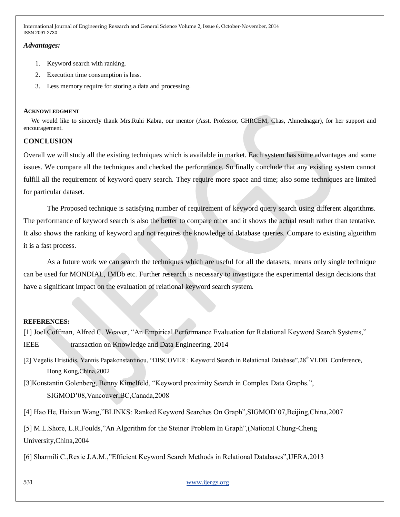## *Advantages:*

- 1. Keyword search with ranking.
- 2. Execution time consumption is less.
- 3. Less memory require for storing a data and processing.

## **ACKNOWLEDGMENT**

We would like to sincerely thank Mrs.Ruhi Kabra, our mentor (Asst. Professor, GHRCEM, Chas, Ahmednagar), for her support and encouragement.

# **CONCLUSION**

Overall we will study all the existing techniques which is available in market. Each system has some advantages and some issues. We compare all the techniques and checked the performance. So finally conclude that any existing system cannot fulfill all the requirement of keyword query search. They require more space and time; also some techniques are limited for particular dataset.

The Proposed technique is satisfying number of requirement of keyword query search using different algorithms. The performance of keyword search is also the better to compare other and it shows the actual result rather than tentative. It also shows the ranking of keyword and not requires the knowledge of database queries. Compare to existing algorithm it is a fast process.

As a future work we can search the techniques which are useful for all the datasets, means only single technique can be used for MONDIAL, IMDb etc. Further research is necessary to investigate the experimental design decisions that have a significant impact on the evaluation of relational keyword search system.

# **REFERENCES:**

[1] Joel Coffman, Alfred C. Weaver, "An Empirical Performance Evaluation for Relational Keyword Search Systems," IEEE transaction on Knowledge and Data Engineering, 2014

[2] Vegelis Hristidis, Yannis Papakonstantinou, "DISCOVER : Keyword Search in Relational Database",28<sup>th</sup>VLDB Conference, Hong Kong,China,2002

[3]Konstantin Golenberg, Benny Kimelfeld, "Keyword proximity Search in Complex Data Graphs.", SIGMOD'08,Vancouver,BC,Canada,2008

[4] Hao He, Haixun Wang,"BLINKS: Ranked Keyword Searches On Graph",SIGMOD'07,Beijing,China,2007

[5] M.L.Shore, L.R.Foulds,"An Algorithm for the Steiner Problem In Graph",(National Chung-Cheng University,China,2004

[6] Sharmili C.,Rexie J.A.M.,"Efficient Keyword Search Methods in Relational Databases",IJERA,2013